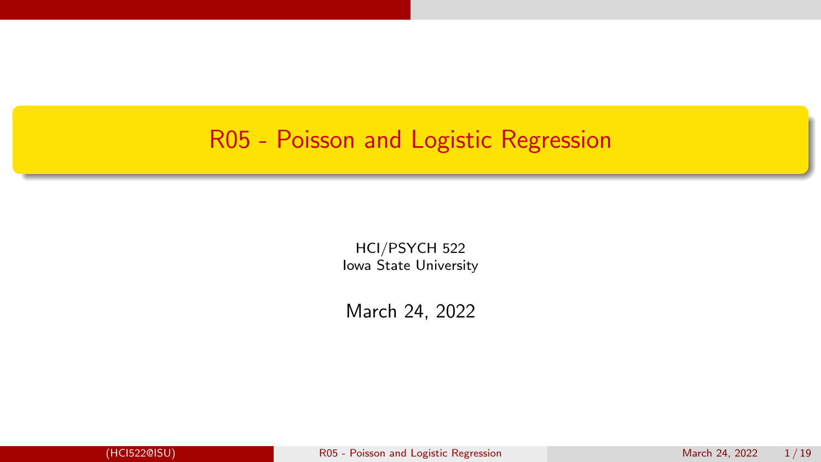#### <span id="page-0-0"></span>R05 - Poisson and Logistic Regression

HCI/PSYCH 522 Iowa State University

March 24, 2022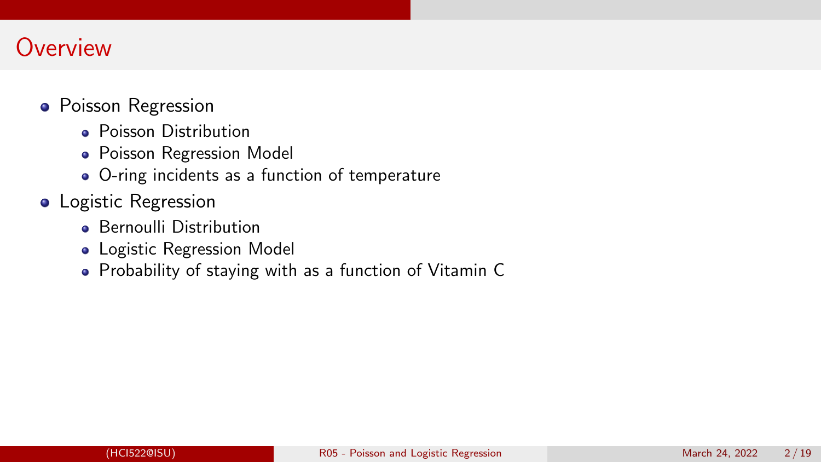#### **Overview**

- Poisson Regression
	- **Poisson Distribution**
	- **Poisson Regression Model**
	- O-ring incidents as a function of temperature
- **•** Logistic Regression
	- **Bernoulli Distribution**
	- Logistic Regression Model
	- Probability of staying with as a function of Vitamin C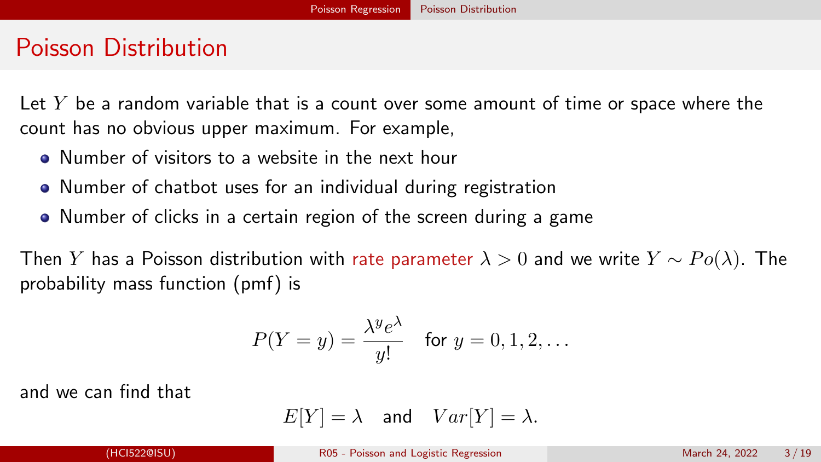#### <span id="page-2-0"></span>Poisson Distribution

Let  $Y$  be a random variable that is a count over some amount of time or space where the count has no obvious upper maximum. For example,

- Number of visitors to a website in the next hour
- Number of chatbot uses for an individual during registration
- Number of clicks in a certain region of the screen during a game

Then Y has a Poisson distribution with rate parameter  $\lambda > 0$  and we write  $Y \sim Po(\lambda)$ . The probability mass function (pmf) is

$$
P(Y = y) = \frac{\lambda^y e^{\lambda}}{y!} \quad \text{for } y = 0, 1, 2, \dots
$$

and we can find that

$$
E[Y] = \lambda \quad \text{and} \quad Var[Y] = \lambda.
$$

(HCI522@ISU) [R05 - Poisson and Logistic Regression](#page-0-0) March 24, 2022 3 / 19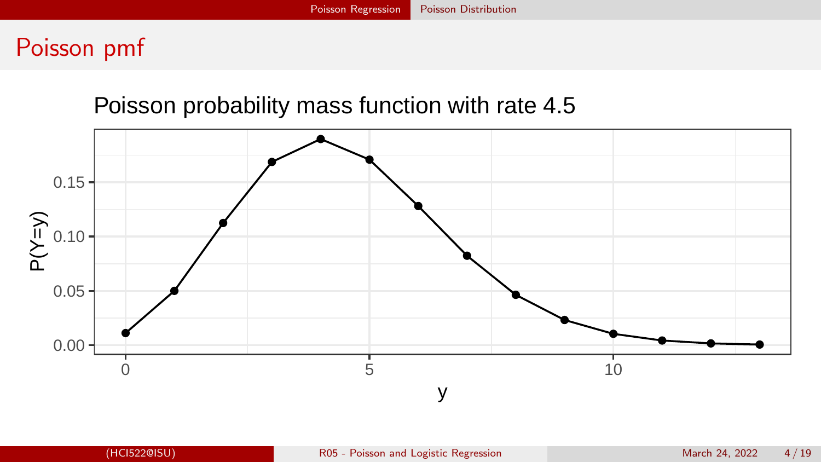#### Poisson pmf

#### Poisson probability mass function with rate 4.5

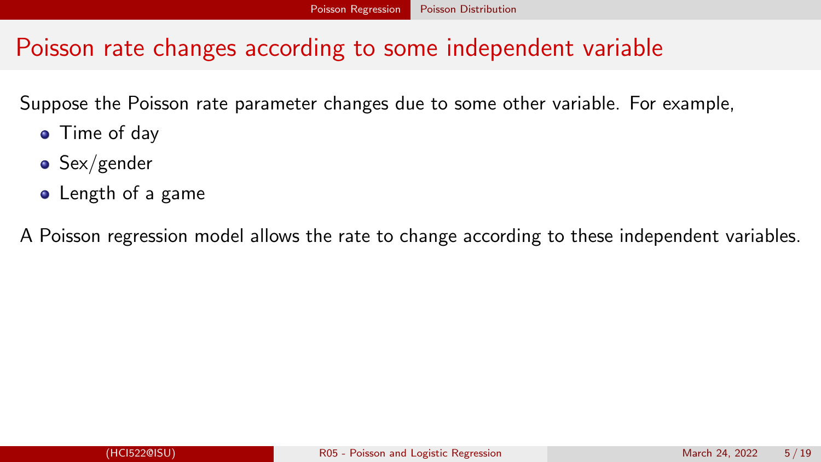## Poisson rate changes according to some independent variable

Suppose the Poisson rate parameter changes due to some other variable. For example,

- Time of day
- $\bullet$  Sex/gender
- **•** Length of a game

A Poisson regression model allows the rate to change according to these independent variables.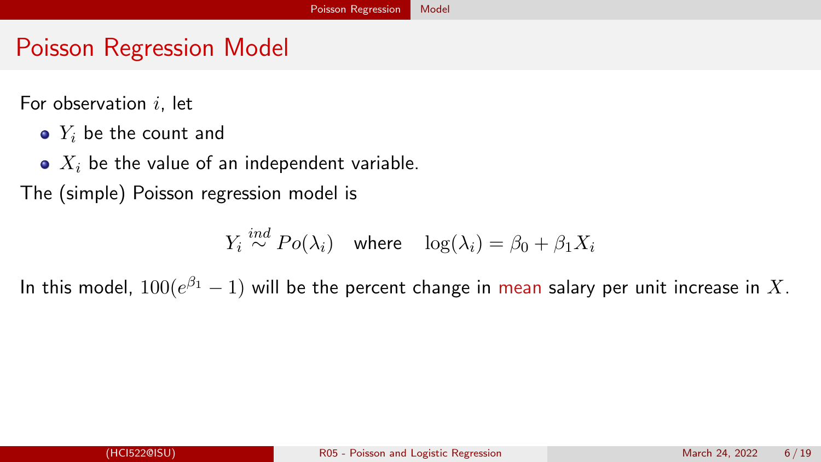# <span id="page-5-0"></span>Poisson Regression Model

For observation  $i$ , let

- $\bullet$   $Y_i$  be the count and
- $\bullet$   $X_i$  be the value of an independent variable.

The (simple) Poisson regression model is

 $Y_i \stackrel{ind}{\sim} Po(\lambda_i)$  where  $\log(\lambda_i) = \beta_0 + \beta_1 X_i$ 

In this model,  $100(e^{\beta_1}-1)$  will be the percent change in mean salary per unit increase in  $X.$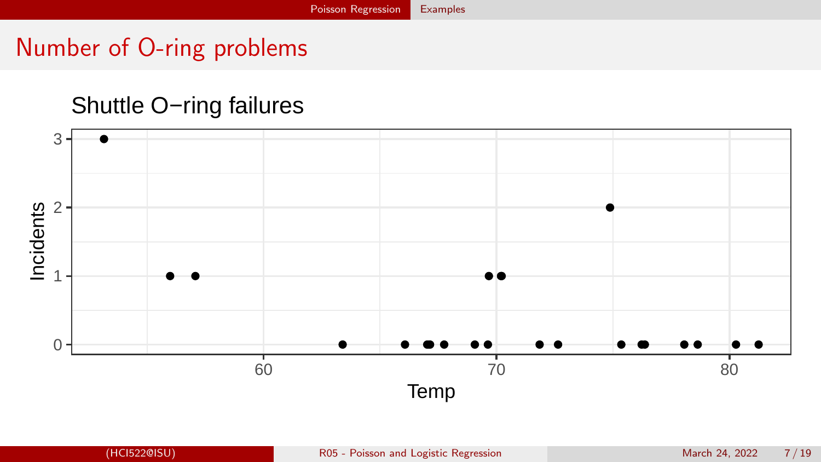## <span id="page-6-0"></span>Number of O-ring problems

#### Shuttle O−ring failures

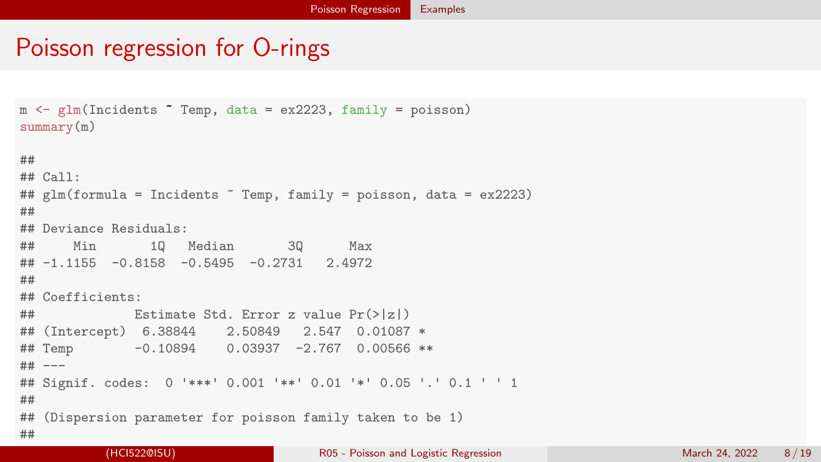## Poisson regression for O-rings

```
m \leq g \ln(\text{Incidents} \cap \text{Temp}, \text{ data} = \text{ex2223}, \text{ family} = \text{poisson})summary(m)##
## Ca11 \cdot## glm(formula = Incidents ~ Temp, family = poisson, data = ex2223)
##
## Deviance Residuals:
## Min 1Q Median 3Q Max
\# \# -1.1155 -0.8158 -0.5495 -0.2731 2.4972
##
## Coefficients:
## Estimate Std. Error z value Pr(>|z|)
## (Intercept) 6.38844 2.50849 2.547 0.01087 *
## Temp -0.10894 0.03937 -2.767 0.00566 **
## ---
## Signif. codes: 0 '***' 0.001 '**' 0.01 '*' 0.05 '.' 0.1 ' ' 1
##
## (Dispersion parameter for poisson family taken to be 1)
##
```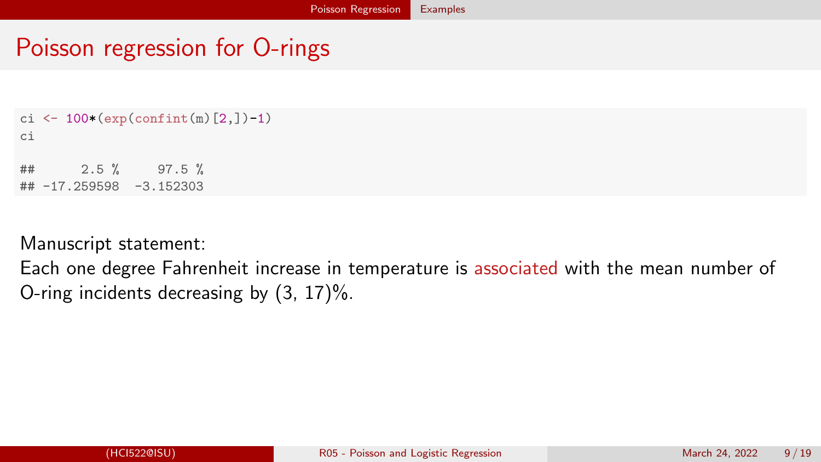## Poisson regression for O-rings

```
ci <- 100*(exp(confint(m)[2,]-1)ci
## 2.5 % 97.5 %
## -17.259598 -3.152303
```
Manuscript statement:

Each one degree Fahrenheit increase in temperature is associated with the mean number of O-ring incidents decreasing by (3, 17)%.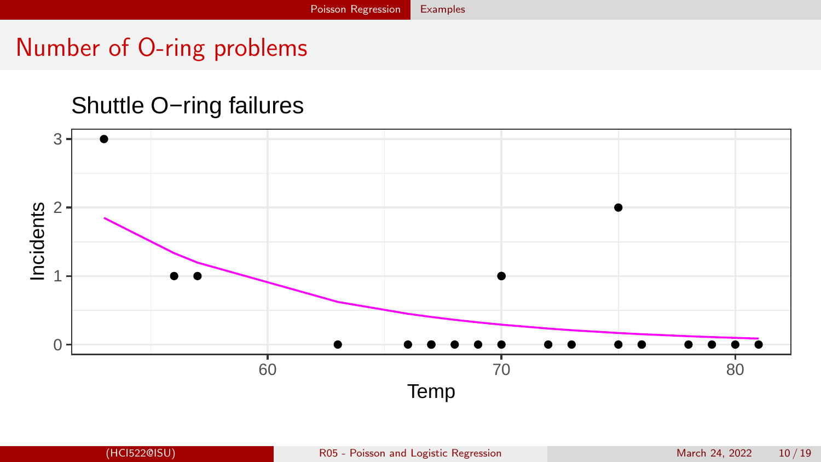## Number of O-ring problems

#### Shuttle O−ring failures

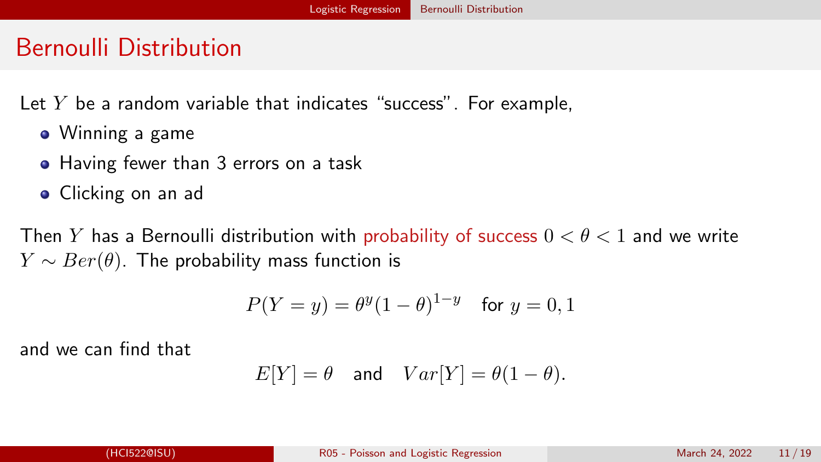### <span id="page-10-0"></span>Bernoulli Distribution

Let  $Y$  be a random variable that indicates "success". For example,

- Winning a game
- Having fewer than 3 errors on a task
- **•** Clicking on an ad

Then Y has a Bernoulli distribution with probability of success  $0 < \theta < 1$  and we write  $Y \sim Ber(\theta)$ . The probability mass function is

$$
P(Y = y) = \theta^{y}(1 - \theta)^{1-y}
$$
 for  $y = 0, 1$ 

and we can find that

$$
E[Y] = \theta \quad \text{and} \quad Var[Y] = \theta(1-\theta).
$$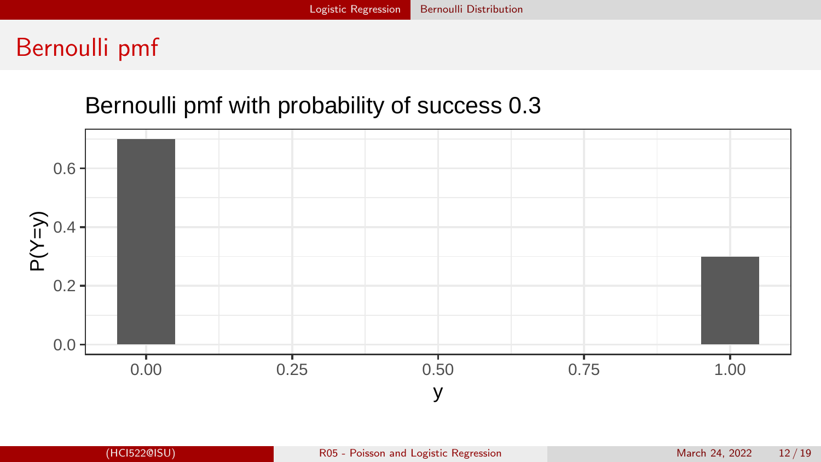## Bernoulli pmf

#### Bernoulli pmf with probability of success 0.3

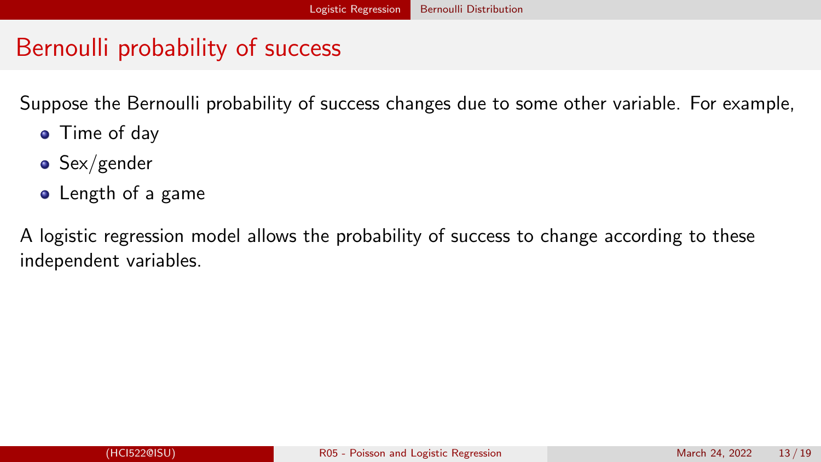### Bernoulli probability of success

Suppose the Bernoulli probability of success changes due to some other variable. For example,

- Time of day
- $\bullet$  Sex/gender
- Length of a game

A logistic regression model allows the probability of success to change according to these independent variables.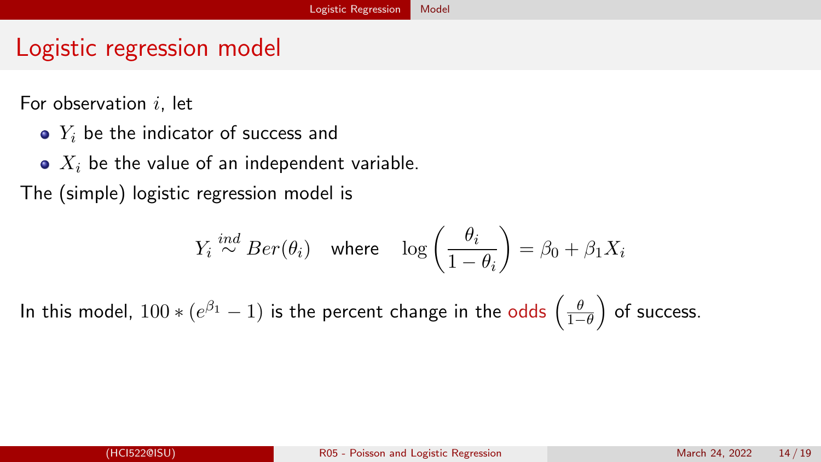## <span id="page-13-0"></span>Logistic regression model

For observation  $i$ , let

- $\bullet$   $Y_i$  be the indicator of success and
- $\bullet$   $X_i$  be the value of an independent variable.

The (simple) logistic regression model is

$$
Y_i \stackrel{ind}{\sim} Ber(\theta_i) \quad \text{where} \quad \log\left(\frac{\theta_i}{1-\theta_i}\right) = \beta_0 + \beta_1 X_i
$$

In this model,  $100*(e^{\beta_1}-1)$  is the percent change in the odds  $\left(\frac{\theta}{1-\theta}\right)$  of success.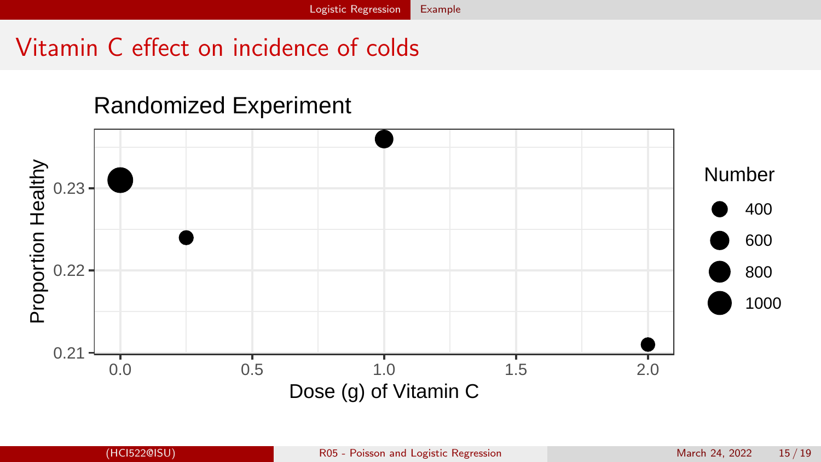# <span id="page-14-0"></span>Vitamin C effect on incidence of colds

#### Randomized Experiment

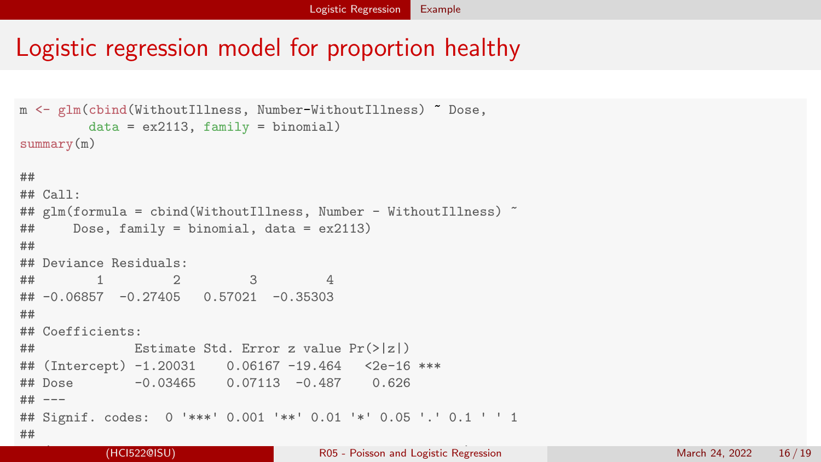### Logistic regression model for proportion healthy

```
m <- glm(cbind(WithoutIllness, Number-WithoutIllness) ~ Dose,
        data = ex2113, family = binomial)
\text{summarv}(m)##
## Call:
## glm(formula = cbind(WithoutIllness, Number - WithoutIllness) ~
## Dose, family = binomial, data = ex2113)
##
## Deviance Residuals:
## 1 2 3 4
\# \# -0.06857 -0.27405 0.57021 -0.35303
##
## Coefficients:
## Estimate Std. Error z value Pr(>|z|)
## (Intercept) -1.20031 0.06167 -19.464 <2e-16 ***
## Dose -0.03465 0.07113 -0.487 0.626
## ---
## Signif. codes: 0 '***' 0.001 '**' 0.01 '*' 0.05 '.' 0.1 ' ' 1
##
```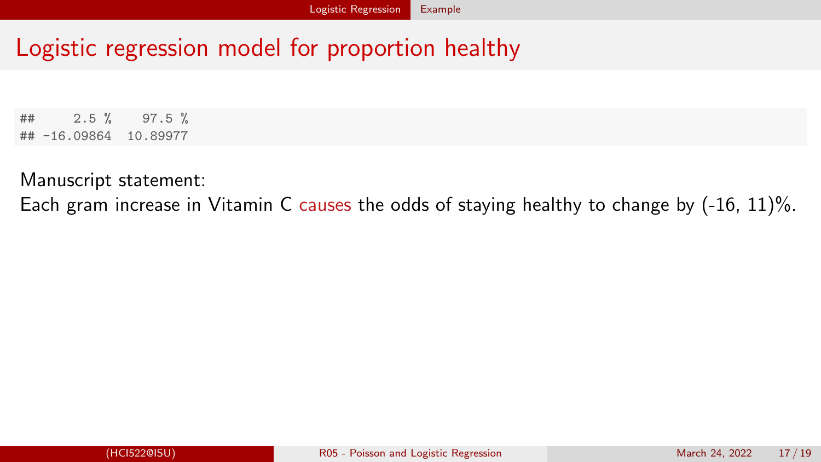### Logistic regression model for proportion healthy

## 2.5 % 97.5 % ## -16.09864 10.89977

Manuscript statement:

Each gram increase in Vitamin C causes the odds of staying healthy to change by (-16, 11)%.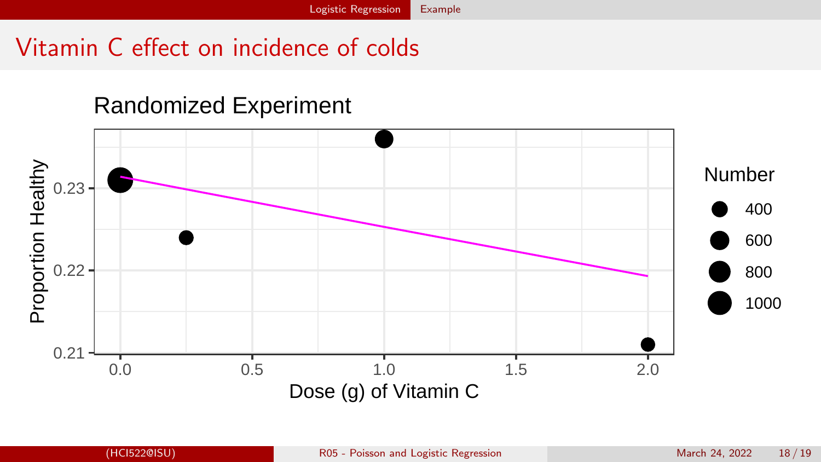# Vitamin C effect on incidence of colds

#### Randomized Experiment